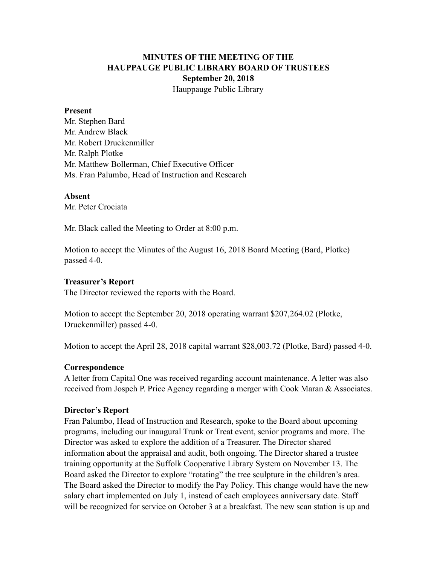# **MINUTES OF THE MEETING OF THE HAUPPAUGE PUBLIC LIBRARY BOARD OF TRUSTEES September 20, 2018** Hauppauge Public Library

#### **Present**

Mr. Stephen Bard Mr. Andrew Black Mr. Robert Druckenmiller Mr. Ralph Plotke Mr. Matthew Bollerman, Chief Executive Officer Ms. Fran Palumbo, Head of Instruction and Research

#### **Absent**

Mr. Peter Crociata

Mr. Black called the Meeting to Order at 8:00 p.m.

Motion to accept the Minutes of the August 16, 2018 Board Meeting (Bard, Plotke) passed 4-0.

## **Treasurer's Report**

The Director reviewed the reports with the Board.

Motion to accept the September 20, 2018 operating warrant \$207,264.02 (Plotke, Druckenmiller) passed 4-0.

Motion to accept the April 28, 2018 capital warrant \$28,003.72 (Plotke, Bard) passed 4-0.

## **Correspondence**

A letter from Capital One was received regarding account maintenance. A letter was also received from Jospeh P. Price Agency regarding a merger with Cook Maran & Associates.

## **Director's Report**

Fran Palumbo, Head of Instruction and Research, spoke to the Board about upcoming programs, including our inaugural Trunk or Treat event, senior programs and more. The Director was asked to explore the addition of a Treasurer. The Director shared information about the appraisal and audit, both ongoing. The Director shared a trustee training opportunity at the Suffolk Cooperative Library System on November 13. The Board asked the Director to explore "rotating" the tree sculpture in the children's area. The Board asked the Director to modify the Pay Policy. This change would have the new salary chart implemented on July 1, instead of each employees anniversary date. Staff will be recognized for service on October 3 at a breakfast. The new scan station is up and